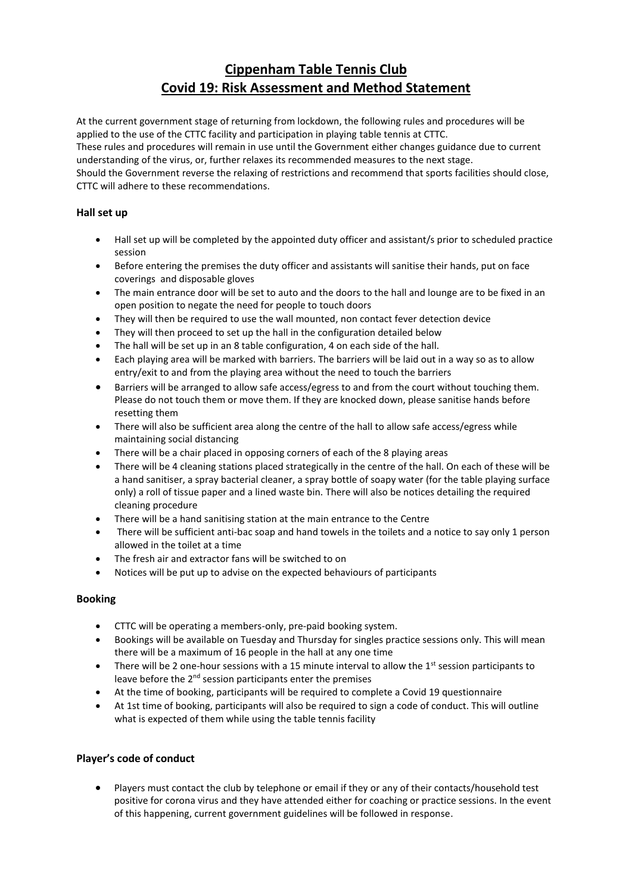# **Cippenham Table Tennis Club Covid 19: Risk Assessment and Method Statement**

At the current government stage of returning from lockdown, the following rules and procedures will be applied to the use of the CTTC facility and participation in playing table tennis at CTTC. These rules and procedures will remain in use until the Government either changes guidance due to current understanding of the virus, or, further relaxes its recommended measures to the next stage. Should the Government reverse the relaxing of restrictions and recommend that sports facilities should close, CTTC will adhere to these recommendations.

## **Hall set up**

- Hall set up will be completed by the appointed duty officer and assistant/s prior to scheduled practice session
- Before entering the premises the duty officer and assistants will sanitise their hands, put on face coverings and disposable gloves
- The main entrance door will be set to auto and the doors to the hall and lounge are to be fixed in an open position to negate the need for people to touch doors
- They will then be required to use the wall mounted, non contact fever detection device
- They will then proceed to set up the hall in the configuration detailed below
- The hall will be set up in an 8 table configuration, 4 on each side of the hall.
- Each playing area will be marked with barriers. The barriers will be laid out in a way so as to allow entry/exit to and from the playing area without the need to touch the barriers
- Barriers will be arranged to allow safe access/egress to and from the court without touching them. Please do not touch them or move them. If they are knocked down, please sanitise hands before resetting them
- There will also be sufficient area along the centre of the hall to allow safe access/egress while maintaining social distancing
- There will be a chair placed in opposing corners of each of the 8 playing areas
- There will be 4 cleaning stations placed strategically in the centre of the hall. On each of these will be a hand sanitiser, a spray bacterial cleaner, a spray bottle of soapy water (for the table playing surface only) a roll of tissue paper and a lined waste bin. There will also be notices detailing the required cleaning procedure
- There will be a hand sanitising station at the main entrance to the Centre
- There will be sufficient anti-bac soap and hand towels in the toilets and a notice to say only 1 person allowed in the toilet at a time
- The fresh air and extractor fans will be switched to on
- Notices will be put up to advise on the expected behaviours of participants

### **Booking**

- CTTC will be operating a members-only, pre-paid booking system.
- Bookings will be available on Tuesday and Thursday for singles practice sessions only. This will mean there will be a maximum of 16 people in the hall at any one time
- There will be 2 one-hour sessions with a 15 minute interval to allow the  $1<sup>st</sup>$  session participants to leave before the 2<sup>nd</sup> session participants enter the premises
- At the time of booking, participants will be required to complete a Covid 19 questionnaire
- At 1st time of booking, participants will also be required to sign a code of conduct. This will outline what is expected of them while using the table tennis facility

### **Player's code of conduct**

• Players must contact the club by telephone or email if they or any of their contacts/household test positive for corona virus and they have attended either for coaching or practice sessions. In the event of this happening, current government guidelines will be followed in response.